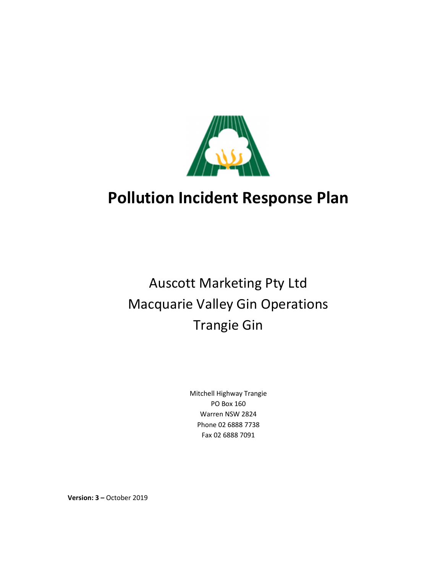

## Auscott Marketing Pty Ltd Macquarie Valley Gin Operations Trangie Gin

Mitchell Highway Trangie PO Box 160 Warren NSW 2824 Phone 02 6888 7738 Fax 02 6888 7091

**Version: 3 – October 2019**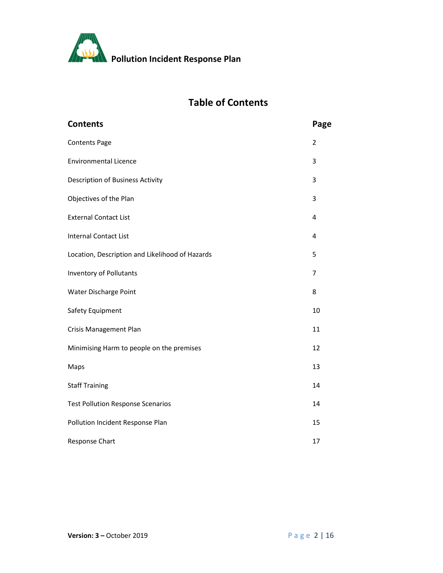

## **Table of Contents**

| <b>Contents</b>                                 | Page           |
|-------------------------------------------------|----------------|
| <b>Contents Page</b>                            | $\overline{2}$ |
| <b>Environmental Licence</b>                    | 3              |
| Description of Business Activity                | 3              |
| Objectives of the Plan                          | 3              |
| <b>External Contact List</b>                    | 4              |
| <b>Internal Contact List</b>                    | 4              |
| Location, Description and Likelihood of Hazards | 5              |
| <b>Inventory of Pollutants</b>                  | 7              |
| Water Discharge Point                           | 8              |
| Safety Equipment                                | 10             |
| <b>Crisis Management Plan</b>                   | 11             |
| Minimising Harm to people on the premises       | 12             |
| Maps                                            | 13             |
| <b>Staff Training</b>                           | 14             |
| <b>Test Pollution Response Scenarios</b>        | 14             |
| Pollution Incident Response Plan                | 15             |
| Response Chart                                  | 17             |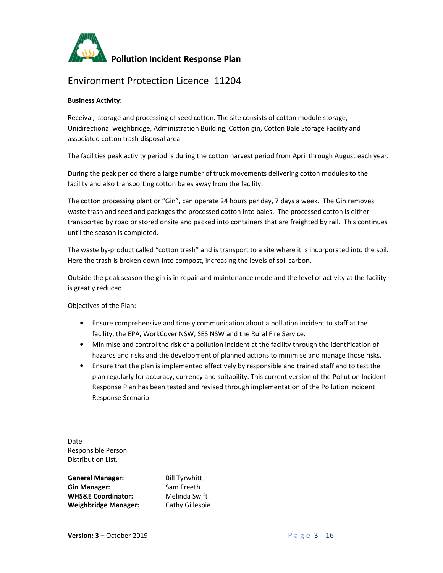

### Environment Protection Licence 11204

#### **Business Activity:**

Receival, storage and processing of seed cotton. The site consists of cotton module storage, Unidirectional weighbridge, Administration Building, Cotton gin, Cotton Bale Storage Facility and associated cotton trash disposal area.

The facilities peak activity period is during the cotton harvest period from April through August each year.

During the peak period there a large number of truck movements delivering cotton modules to the facility and also transporting cotton bales away from the facility.

The cotton processing plant or "Gin", can operate 24 hours per day, 7 days a week. The Gin removes waste trash and seed and packages the processed cotton into bales. The processed cotton is either transported by road or stored onsite and packed into containers that are freighted by rail. This continues until the season is completed.

The waste by-product called "cotton trash" and is transport to a site where it is incorporated into the soil. Here the trash is broken down into compost, increasing the levels of soil carbon.

Outside the peak season the gin is in repair and maintenance mode and the level of activity at the facility is greatly reduced.

Objectives of the Plan:

- Ensure comprehensive and timely communication about a pollution incident to staff at the facility, the EPA, WorkCover NSW, SES NSW and the Rural Fire Service.
- Minimise and control the risk of a pollution incident at the facility through the identification of hazards and risks and the development of planned actions to minimise and manage those risks.
- Ensure that the plan is implemented effectively by responsible and trained staff and to test the plan regularly for accuracy, currency and suitability. This current version of the Pollution Incident Response Plan has been tested and revised through implementation of the Pollution Incident Response Scenario.

Date Responsible Person: Distribution List.

| <b>General Manager:</b>       | <b>Bill Tyrwhitt</b> |
|-------------------------------|----------------------|
| <b>Gin Manager:</b>           | Sam Freeth           |
| <b>WHS&amp;E Coordinator:</b> | Melinda Swift        |
| <b>Weighbridge Manager:</b>   | Cathy Gillespie      |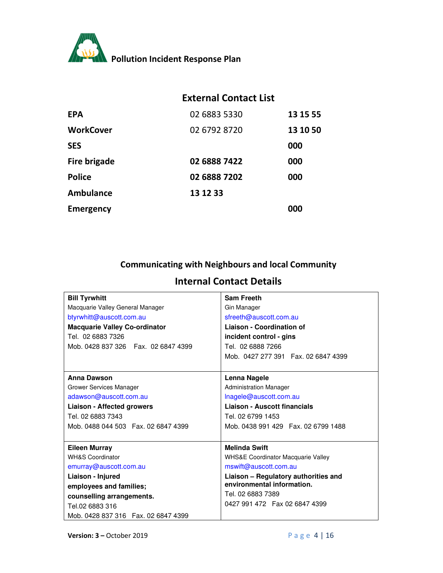

## **External Contact List**

| <b>EPA</b>          | 02 6883 5330 | 13 15 55 |
|---------------------|--------------|----------|
| <b>WorkCover</b>    | 02 6792 8720 | 13 10 50 |
| <b>SES</b>          |              | 000      |
| <b>Fire brigade</b> | 02 6888 7422 | 000      |
| <b>Police</b>       | 02 6888 7202 | 000      |
| Ambulance           | 13 12 33     |          |
| <b>Emergency</b>    |              | 000      |

## **Communicating with Neighbours and local Community**

## **Internal Contact Details**

| <b>Bill Tyrwhitt</b>                 | <b>Sam Freeth</b>                             |
|--------------------------------------|-----------------------------------------------|
| Macquarie Valley General Manager     | Gin Manager                                   |
| btyrwhitt@auscott.com.au             | sfreeth@auscott.com.au                        |
| <b>Macquarie Valley Co-ordinator</b> | <b>Liaison - Coordination of</b>              |
| Tel. 02 6883 7326                    | incident control - gins                       |
| Mob. 0428 837 326  Fax. 02 6847 4399 | Tel. 02 6888 7266                             |
|                                      | Mob. 0427 277 391  Fax. 02 6847 4399          |
|                                      |                                               |
| Anna Dawson                          | Lenna Nagele                                  |
| Grower Services Manager              | <b>Administration Manager</b>                 |
| adawson@auscott.com.au               | Inagele@auscott.com.au                        |
| <b>Liaison - Affected growers</b>    | Liaison - Auscott financials                  |
| Tel. 02 6883 7343                    | Tel. 02 6799 1453                             |
| Mob. 0488 044 503  Fax. 02 6847 4399 | Mob. 0438 991 429  Fax. 02 6799 1488          |
|                                      |                                               |
| <b>Eileen Murray</b>                 | <b>Melinda Swift</b>                          |
| <b>WH&amp;S Coordinator</b>          | <b>WHS&amp;E Coordinator Macquarie Valley</b> |
| emurray@auscott.com.au               | mswift@auscott.com.au                         |
| Liaison - Injured                    | Liaison - Regulatory authorities and          |
| employees and families;              | environmental information.                    |
| counselling arrangements.            | Tel. 02 6883 7389                             |
| Tel.02 6883 316                      | 0427 991 472  Fax 02 6847 4399                |
| Mob. 0428 837 316  Fax. 02 6847 4399 |                                               |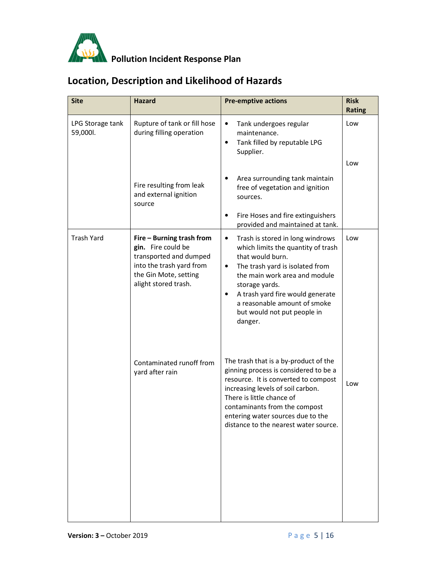

## **Location, Description and Likelihood of Hazards**

| <b>Site</b>                  | <b>Hazard</b>                                                                                                                                          | <b>Pre-emptive actions</b>                                                                                                                                                                                                                                                                                                    | <b>Risk</b><br><b>Rating</b> |
|------------------------------|--------------------------------------------------------------------------------------------------------------------------------------------------------|-------------------------------------------------------------------------------------------------------------------------------------------------------------------------------------------------------------------------------------------------------------------------------------------------------------------------------|------------------------------|
| LPG Storage tank<br>59,000l. | Rupture of tank or fill hose<br>during filling operation                                                                                               | Tank undergoes regular<br>$\bullet$<br>maintenance.<br>Tank filled by reputable LPG<br>٠<br>Supplier.                                                                                                                                                                                                                         | Low<br>Low                   |
|                              | Fire resulting from leak<br>and external ignition<br>source                                                                                            | Area surrounding tank maintain<br>٠<br>free of vegetation and ignition<br>sources.                                                                                                                                                                                                                                            |                              |
|                              |                                                                                                                                                        | Fire Hoses and fire extinguishers<br>٠<br>provided and maintained at tank.                                                                                                                                                                                                                                                    |                              |
| <b>Trash Yard</b>            | Fire - Burning trash from<br>gin. Fire could be<br>transported and dumped<br>into the trash yard from<br>the Gin Mote, setting<br>alight stored trash. | Trash is stored in long windrows<br>$\bullet$<br>which limits the quantity of trash<br>that would burn.<br>The trash yard is isolated from<br>$\bullet$<br>the main work area and module<br>storage yards.<br>A trash yard fire would generate<br>٠<br>a reasonable amount of smoke<br>but would not put people in<br>danger. | Low                          |
|                              | Contaminated runoff from<br>yard after rain                                                                                                            | The trash that is a by-product of the<br>ginning process is considered to be a<br>resource. It is converted to compost<br>increasing levels of soil carbon.<br>There is little chance of<br>contaminants from the compost<br>entering water sources due to the<br>distance to the nearest water source.                       | Low                          |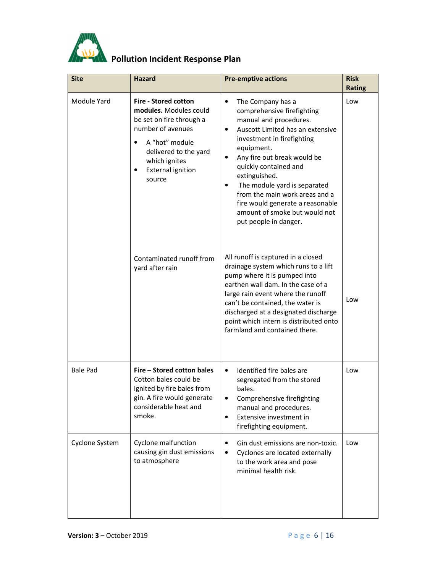

| <b>Site</b>     | <b>Hazard</b>                                                                                                                                                                                                              | <b>Pre-emptive actions</b>                                                                                                                                                                                                                                                                                                                                                                                                                             | <b>Risk</b><br><b>Rating</b> |
|-----------------|----------------------------------------------------------------------------------------------------------------------------------------------------------------------------------------------------------------------------|--------------------------------------------------------------------------------------------------------------------------------------------------------------------------------------------------------------------------------------------------------------------------------------------------------------------------------------------------------------------------------------------------------------------------------------------------------|------------------------------|
| Module Yard     | <b>Fire - Stored cotton</b><br>modules. Modules could<br>be set on fire through a<br>number of avenues<br>A "hot" module<br>$\bullet$<br>delivered to the yard<br>which ignites<br><b>External ignition</b><br>٠<br>source | The Company has a<br>$\bullet$<br>comprehensive firefighting<br>manual and procedures.<br>Auscott Limited has an extensive<br>$\bullet$<br>investment in firefighting<br>equipment.<br>Any fire out break would be<br>$\bullet$<br>quickly contained and<br>extinguished.<br>The module yard is separated<br>$\bullet$<br>from the main work areas and a<br>fire would generate a reasonable<br>amount of smoke but would not<br>put people in danger. | Low                          |
|                 | Contaminated runoff from<br>yard after rain                                                                                                                                                                                | All runoff is captured in a closed<br>drainage system which runs to a lift<br>pump where it is pumped into<br>earthen wall dam. In the case of a<br>large rain event where the runoff<br>can't be contained, the water is<br>discharged at a designated discharge<br>point which intern is distributed onto<br>farmland and contained there.                                                                                                           | Low                          |
| <b>Bale Pad</b> | Fire - Stored cotton bales<br>Cotton bales could be<br>ignited by fire bales from<br>gin. A fire would generate<br>considerable heat and<br>smoke.                                                                         | Identified fire bales are<br>$\bullet$<br>segregated from the stored<br>bales.<br>Comprehensive firefighting<br>manual and procedures.<br>Extensive investment in<br>$\bullet$<br>firefighting equipment.                                                                                                                                                                                                                                              | Low                          |
| Cyclone System  | Cyclone malfunction<br>causing gin dust emissions<br>to atmosphere                                                                                                                                                         | Gin dust emissions are non-toxic.<br>$\bullet$<br>Cyclones are located externally<br>$\bullet$<br>to the work area and pose<br>minimal health risk.                                                                                                                                                                                                                                                                                                    | Low                          |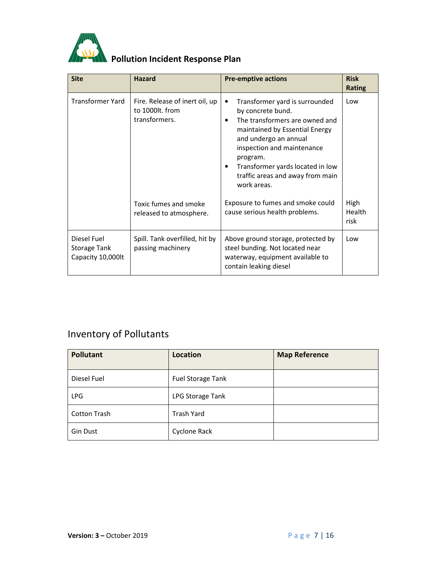

| <b>Site</b>                                             | <b>Hazard</b>                                                      | <b>Pre-emptive actions</b>                                                                                                                                                                                                                                                                               | <b>Risk</b><br><b>Rating</b> |
|---------------------------------------------------------|--------------------------------------------------------------------|----------------------------------------------------------------------------------------------------------------------------------------------------------------------------------------------------------------------------------------------------------------------------------------------------------|------------------------------|
| <b>Transformer Yard</b>                                 | Fire. Release of inert oil, up<br>to 1000lt. from<br>transformers. | Transformer yard is surrounded<br>$\bullet$<br>by concrete bund.<br>The transformers are owned and<br>٠<br>maintained by Essential Energy<br>and undergo an annual<br>inspection and maintenance<br>program.<br>Transformer yards located in low<br>٠<br>traffic areas and away from main<br>work areas. | Low                          |
|                                                         | Toxic fumes and smoke<br>released to atmosphere.                   | Exposure to fumes and smoke could<br>cause serious health problems.                                                                                                                                                                                                                                      | High<br>Health<br>risk       |
| Diesel Fuel<br><b>Storage Tank</b><br>Capacity 10,000lt | Spill. Tank overfilled, hit by<br>passing machinery                | Above ground storage, protected by<br>steel bunding. Not located near<br>waterway, equipment available to<br>contain leaking diesel                                                                                                                                                                      | Low                          |

## Inventory of Pollutants

| <b>Pollutant</b>    | Location          | <b>Map Reference</b> |
|---------------------|-------------------|----------------------|
| Diesel Fuel         | Fuel Storage Tank |                      |
| <b>LPG</b>          | LPG Storage Tank  |                      |
| <b>Cotton Trash</b> | <b>Trash Yard</b> |                      |
| Gin Dust            | Cyclone Rack      |                      |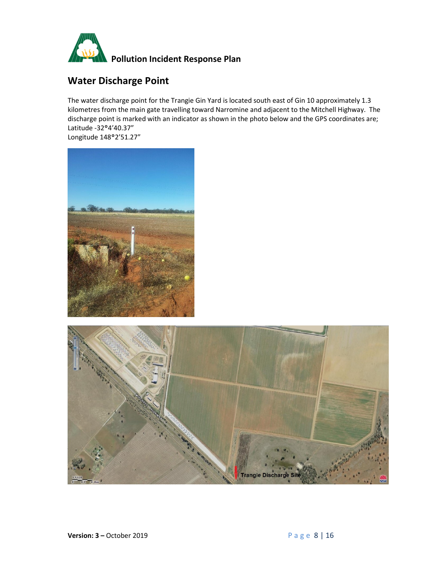

## **Water Discharge Point**

The water discharge point for the Trangie Gin Yard is located south east of Gin 10 approximately 1.3 kilometres from the main gate travelling toward Narromine and adjacent to the Mitchell Highway. The discharge point is marked with an indicator as shown in the photo below and the GPS coordinates are; Latitude -32°4'40.37"

Longitude 148°2'51.27"



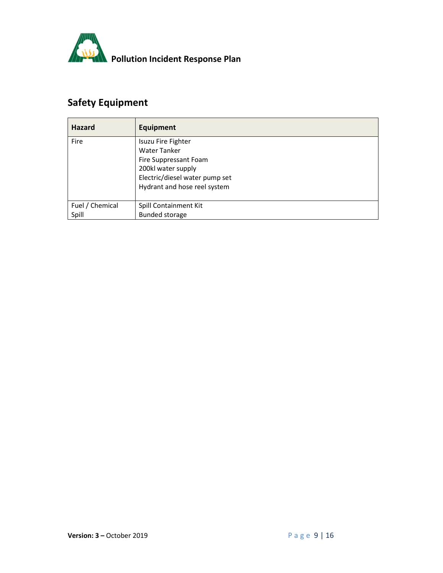

## **Safety Equipment**

| <b>Hazard</b>            | <b>Equipment</b>                                                                                                                                           |
|--------------------------|------------------------------------------------------------------------------------------------------------------------------------------------------------|
| Fire                     | Isuzu Fire Fighter<br><b>Water Tanker</b><br>Fire Suppressant Foam<br>200kl water supply<br>Electric/diesel water pump set<br>Hydrant and hose reel system |
| Fuel / Chemical<br>Spill | Spill Containment Kit<br><b>Bunded storage</b>                                                                                                             |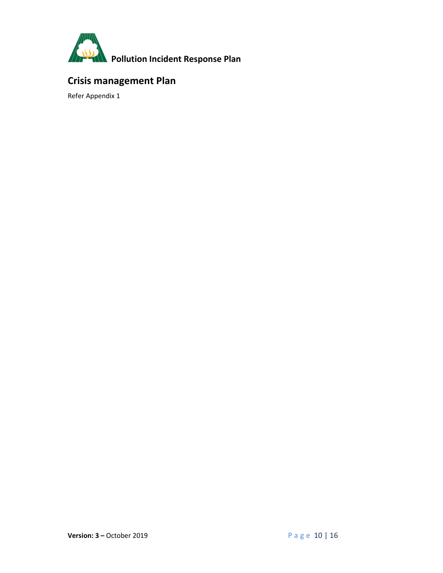

## **Crisis management Plan**

Refer Appendix 1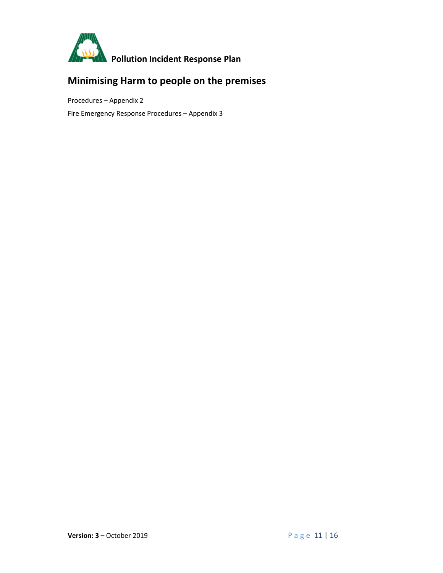

## **Minimising Harm to people on the premises**

Procedures – Appendix 2

Fire Emergency Response Procedures – Appendix 3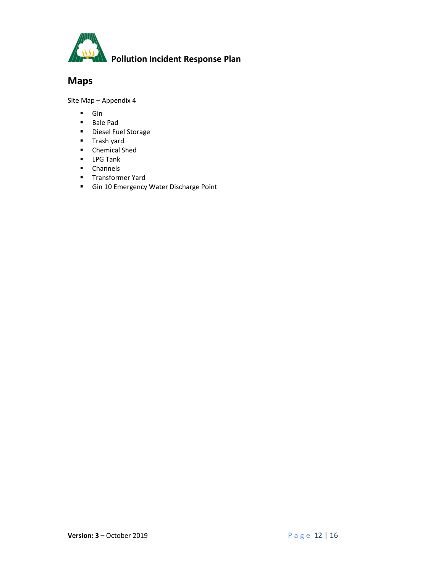

## **Maps**

Site Map – Appendix 4

- **Gin**
- Bale Pad
- **Diesel Fuel Storage**
- **Trash yard**
- **•** Chemical Shed
- **LPG Tank**
- **E** Channels
- **Transformer Yard**
- **Gin 10 Emergency Water Discharge Point**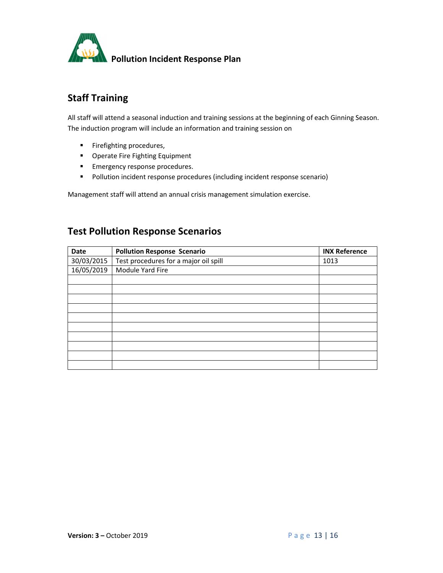

## **Staff Training**

All staff will attend a seasonal induction and training sessions at the beginning of each Ginning Season. The induction program will include an information and training session on

- **Firefighting procedures,**
- **•** Operate Fire Fighting Equipment
- **Emergency response procedures.**
- Pollution incident response procedures (including incident response scenario)

Management staff will attend an annual crisis management simulation exercise.

#### **Test Pollution Response Scenarios**

| Date       | <b>Pollution Response Scenario</b>    | <b>INX Reference</b> |
|------------|---------------------------------------|----------------------|
| 30/03/2015 | Test procedures for a major oil spill | 1013                 |
| 16/05/2019 | Module Yard Fire                      |                      |
|            |                                       |                      |
|            |                                       |                      |
|            |                                       |                      |
|            |                                       |                      |
|            |                                       |                      |
|            |                                       |                      |
|            |                                       |                      |
|            |                                       |                      |
|            |                                       |                      |
|            |                                       |                      |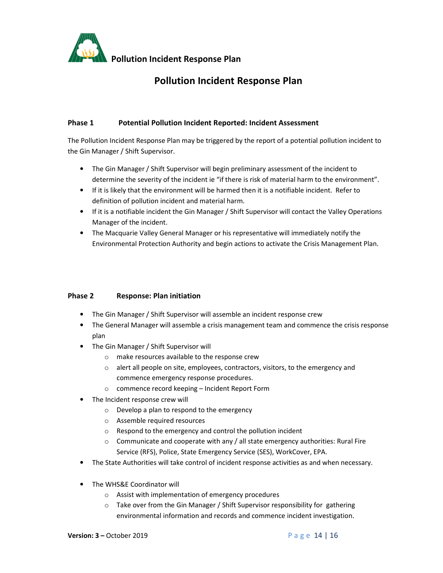

#### **Phase 1 Potential Pollution Incident Reported: Incident Assessment**

The Pollution Incident Response Plan may be triggered by the report of a potential pollution incident to the Gin Manager / Shift Supervisor.

- The Gin Manager / Shift Supervisor will begin preliminary assessment of the incident to determine the severity of the incident ie "if there is risk of material harm to the environment".
- If it is likely that the environment will be harmed then it is a notifiable incident. Refer to definition of pollution incident and material harm.
- If it is a notifiable incident the Gin Manager / Shift Supervisor will contact the Valley Operations Manager of the incident.
- The Macquarie Valley General Manager or his representative will immediately notify the Environmental Protection Authority and begin actions to activate the Crisis Management Plan.

#### **Phase 2 Response: Plan initiation**

- The Gin Manager / Shift Supervisor will assemble an incident response crew
- The General Manager will assemble a crisis management team and commence the crisis response plan
- The Gin Manager / Shift Supervisor will
	- o make resources available to the response crew
	- $\circ$  alert all people on site, employees, contractors, visitors, to the emergency and commence emergency response procedures.
	- o commence record keeping Incident Report Form
- The Incident response crew will
	- o Develop a plan to respond to the emergency
	- o Assemble required resources
	- o Respond to the emergency and control the pollution incident
	- o Communicate and cooperate with any / all state emergency authorities: Rural Fire Service (RFS), Police, State Emergency Service (SES), WorkCover, EPA.
- The State Authorities will take control of incident response activities as and when necessary.
- The WHS&E Coordinator will
	- o Assist with implementation of emergency procedures
	- o Take over from the Gin Manager / Shift Supervisor responsibility for gathering environmental information and records and commence incident investigation.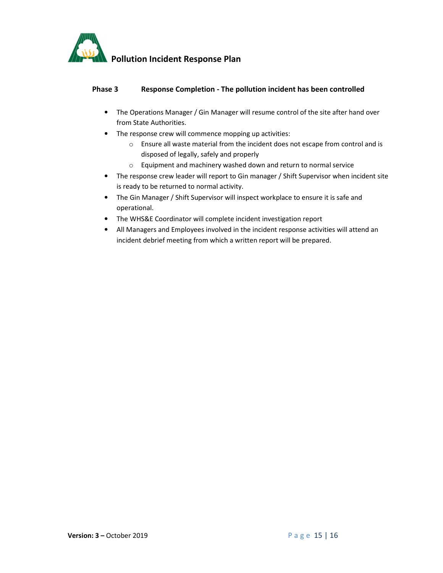

#### **Phase 3 Response Completion - The pollution incident has been controlled**

- The Operations Manager / Gin Manager will resume control of the site after hand over from State Authorities.
- The response crew will commence mopping up activities:
	- o Ensure all waste material from the incident does not escape from control and is disposed of legally, safely and properly
	- o Equipment and machinery washed down and return to normal service
- The response crew leader will report to Gin manager / Shift Supervisor when incident site is ready to be returned to normal activity.
- The Gin Manager / Shift Supervisor will inspect workplace to ensure it is safe and operational.
- The WHS&E Coordinator will complete incident investigation report
- All Managers and Employees involved in the incident response activities will attend an incident debrief meeting from which a written report will be prepared.